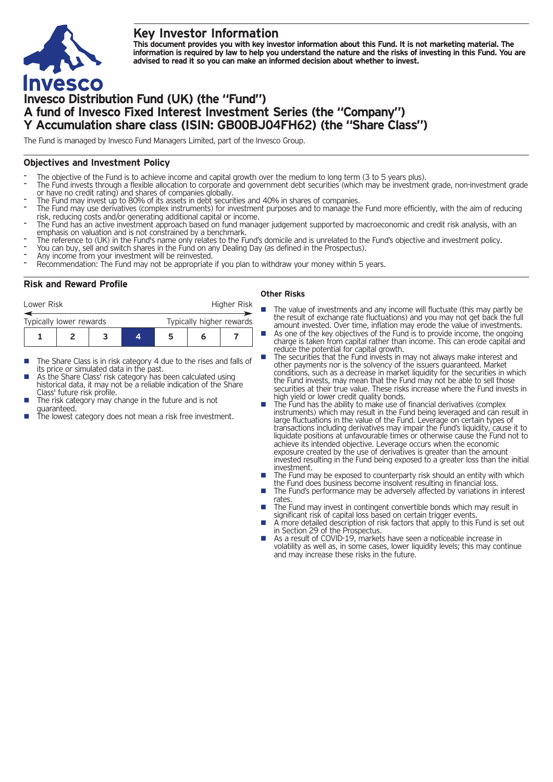## **Key Investor Information**



This document provides you with key investor information about this Fund. It is not marketing material. The information is required by law to help you understand the nature and the risks of investing in this Fund. You are **advised to read it so you can make an informed decision about whether to invest.**

# **Invesco Distribution Fund (UK) (the "Fund") A fund of Invesco Fixed Interest Investment Series (the "Company") Y Accumulation share class (ISIN: GB00BJ04FH62) (the "Share Class")**

The Fund is managed by Invesco Fund Managers Limited, part of the Invesco Group.

## **Objectives and Investment Policy**

- 
- The objective of the Fund is to achieve income and capital growth over the medium to long term (3 to 5 years plus).<br>The Fund invests through a flexible allocation to corporate and government debt securities (which may be i
- 
- The Fund may invest up to 80% of its assets in debt securities and 40% in shares of companies.<br>The Fund may use derivatives (complex instruments) for investment purposes and to manage the Fund more efficiently, with the ai
- The Fund has an active investment approach based on fund manager judgement supported by macroeconomic and credit risk analysis, with an emphasis on valuation and is not constrained by a benchmark.
- The reference to (UK) in the Fund's name only relates to the Fund's domicile and is unrelated to the Fund's objective and investment policy.<br>You can buy, sell and switch shares in the Fund on any Dealing Day (as defined in
- 
- 
- 

## **Risk and Reward Profile**

| Lower Risk              |  |  |   | Higher Risk              |   |  |  |
|-------------------------|--|--|---|--------------------------|---|--|--|
| Typically lower rewards |  |  |   | Typically higher rewards |   |  |  |
|                         |  |  | 4 | 5                        | n |  |  |

- The Share Class is in risk category 4 due to the rises and falls of its price or simulated data in the past.
- As the Share Class' risk category has been calculated using historical data, it may not be a reliable indication of the Share<br>Class' future risk profile.
- The risk category may change in the future and is not
- guaranteed.  $\frac{1}{\pi}$  is the lowest category does not mean a risk free investment.

#### **Other Risks**

- **n** The value of investments and any income will fluctuate (this may partly be the result of exchange rate fluctuations) and you may not get back the full
	- amount invested. Over time, inflation may erode the value of investments. As one of the key objectives of the Fund is to provide income, the ongoing charge is taken from capital rather than income. This can erode capital and reduce the potential for capital growth.
- reduce the potential for capital growth. **n** The securities that the Fund invests in may not always make interest and other payments nor is the solvency of the issuers guaranteed. Market conditions, such as a decrease in market liquidity for the securities in which the Fund invests, may mean that the Fund may not be able to sell those securities at their true value. These risks increase where the Fund invests in
- bigh yield or lower credit quality bonds.<br>The Fund has the ability to make use of financial derivatives (complex instruments) which may result in the Fund being leveraged and can result in large fluctuations in the value of the Fund. Leverage on certain types of transactions including derivatives may impair the Fund's liquidity, cause it to liquidate positions at unfavourable times or otherwise cause the Fund not to achieve its intended objective. Leverage occurs when the economic exposure created by the use of derivatives is greater than the amount invested resulting in the Fund being exposed to a greater loss than the initial
- **Investment may be exposed to counterparty risk should an entity with which the Fund does business become insolvent resulting in financial loss.**
- $\blacksquare$  The Fund's performance may be adversely affected by variations in interest
- rates.<br>The Fund may invest in contingent convertible bonds which may result in<br>significant risk of capital loss based on certain trigger events.
- A more detailed description of risk factors that apply to this Fund is set out in Section 29 of the Prospectus.
- As a result of COVID-19, markets have seen a noticeable increase in volatility as well as, in some cases, lower liquidity levels; this may continue and may increase these risks in the future.